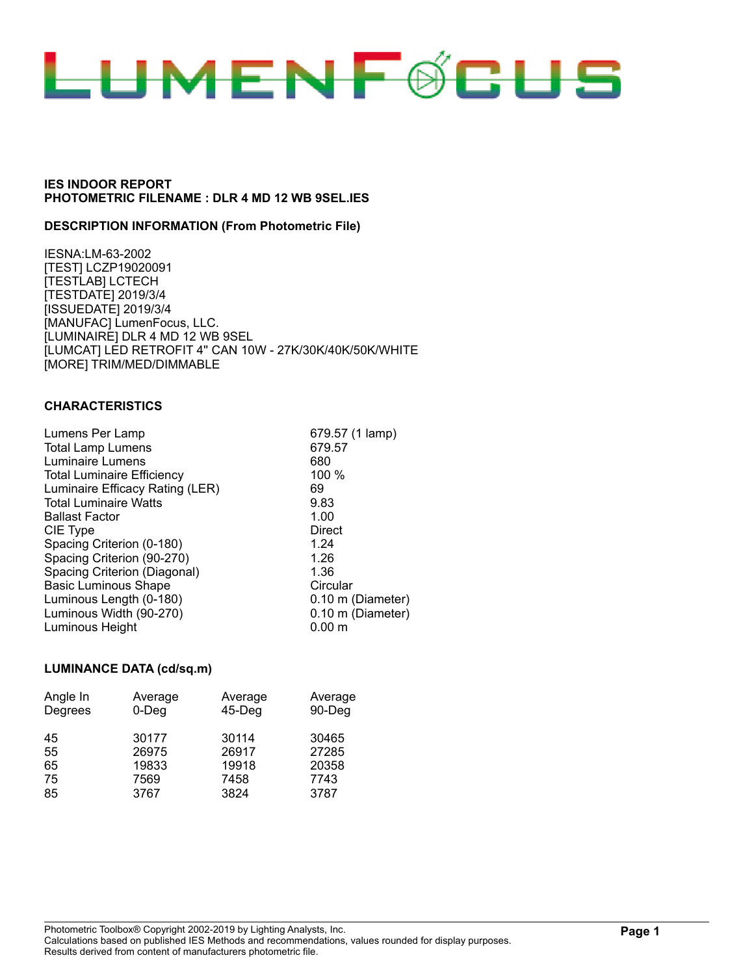

## **DESCRIPTION INFORMATION (From Photometric File)**

IESNA:LM-63-2002 [TEST] LCZP19020091 [TESTLAB] LCTECH [TESTDATE] 2019/3/4 [ISSUEDATE] 2019/3/4 [MANUFAC] LumenFocus, LLC. [LUMINAIRE] DLR 4 MD 12 WB 9SEL [LUMCAT] LED RETROFIT 4'' CAN 10W - 27K/30K/40K/50K/WHITE [MORE] TRIM/MED/DIMMABLE

#### **CHARACTERISTICS**

| Lumens Per Lamp                   | 679.57 (1 lamp)   |
|-----------------------------------|-------------------|
| <b>Total Lamp Lumens</b>          | 679.57            |
| Luminaire Lumens                  | 680               |
|                                   |                   |
| <b>Total Luminaire Efficiency</b> | 100 %             |
| Luminaire Efficacy Rating (LER)   | 69                |
| <b>Total Luminaire Watts</b>      | 9.83              |
| <b>Ballast Factor</b>             | 1.00              |
| CIE Type                          | Direct            |
| Spacing Criterion (0-180)         | 1.24              |
| Spacing Criterion (90-270)        | 1.26              |
| Spacing Criterion (Diagonal)      | 1.36              |
| <b>Basic Luminous Shape</b>       | Circular          |
| Luminous Length (0-180)           | 0.10 m (Diameter) |
| Luminous Width (90-270)           | 0.10 m (Diameter) |
| Luminous Height                   | $0.00 \;{\rm m}$  |

#### **LUMINANCE DATA (cd/sq.m)**

| Angle In | Average  | Average   | Average |
|----------|----------|-----------|---------|
| Degrees  | $0$ -Deg | $45$ -Deg | 90-Deg  |
| 45       | 30177    | 30114     | 30465   |
| 55       | 26975    | 26917     | 27285   |
| 65       | 19833    | 19918     | 20358   |
| 75       | 7569     | 7458      | 7743    |
| 85       | 3767     | 3824      | 3787    |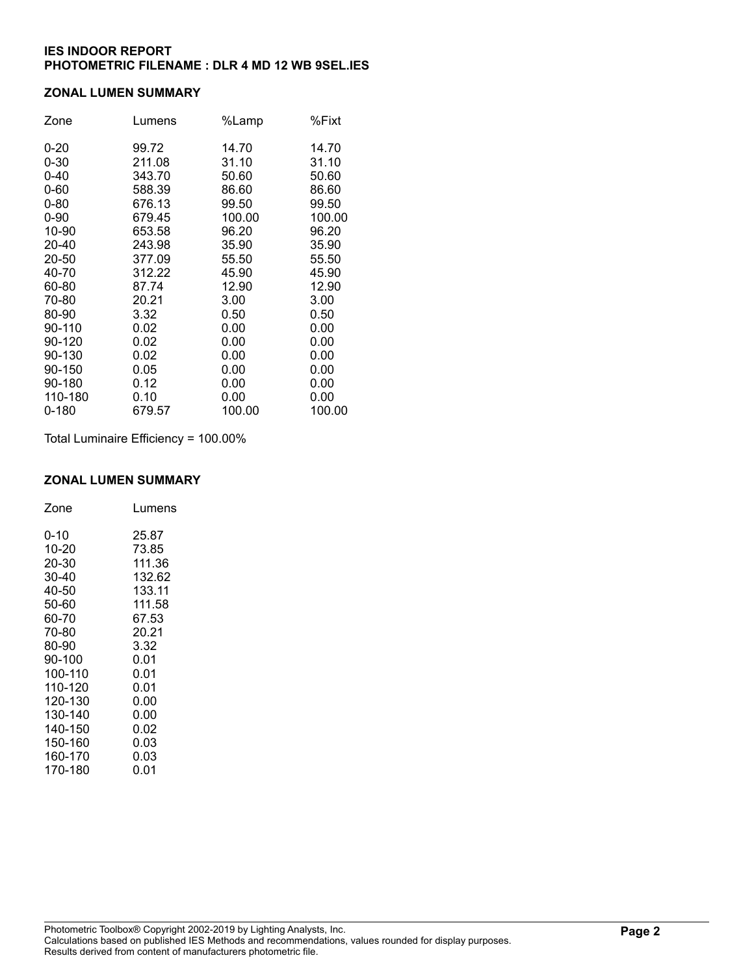# **ZONAL LUMEN SUMMARY**

| Zone      | Lumens | %Lamp  | %Fixt  |
|-----------|--------|--------|--------|
| $0 - 20$  | 99.72  | 14.70  | 14.70  |
| $0 - 30$  | 211.08 | 31.10  | 31.10  |
| $0 - 40$  | 343.70 | 50.60  | 50.60  |
| $0 - 60$  | 588.39 | 86.60  | 86.60  |
| $0 - 80$  | 676.13 | 99.50  | 99.50  |
| $0 - 90$  | 679.45 | 100.00 | 100.00 |
| 10-90     | 653.58 | 96.20  | 96.20  |
| 20-40     | 243.98 | 35.90  | 35.90  |
| 20-50     | 377.09 | 55.50  | 55.50  |
| 40-70     | 312.22 | 45.90  | 45.90  |
| 60-80     | 87.74  | 12.90  | 12.90  |
| 70-80     | 20.21  | 3.00   | 3.00   |
| 80-90     | 3.32   | 0.50   | 0.50   |
| 90-110    | 0.02   | 0.00   | 0.00   |
| 90-120    | 0.02   | 0.00   | 0.00   |
| 90-130    | 0.02   | 0.00   | 0.00   |
| 90-150    | 0.05   | 0.00   | 0.00   |
| 90-180    | 0.12   | 0.00   | 0.00   |
| 110-180   | 0.10   | 0.00   | 0.00   |
| $0 - 180$ | 679.57 | 100.00 | 100.00 |

Total Luminaire Efficiency = 100.00%

#### **ZONAL LUMEN SUMMARY**

| Zone    | Lumens |
|---------|--------|
| 0-10    | 25.87  |
| 10-20   | 73.85  |
| 20-30   | 111.36 |
| 30-40   | 132.62 |
| 40-50   | 133.11 |
| 50-60   | 111.58 |
| 60-70   | 67.53  |
| 70-80   | 20.21  |
| 80-90   | 3.32   |
| 90-100  | 0.01   |
| 100-110 | 0.01   |
| 110-120 | 0.01   |
| 120-130 | 0.00   |
| 130-140 | 0.00   |
| 140-150 | 0.02   |
| 150-160 | 0.03   |
| 160-170 | 0.03   |
| 170-180 | 0.01   |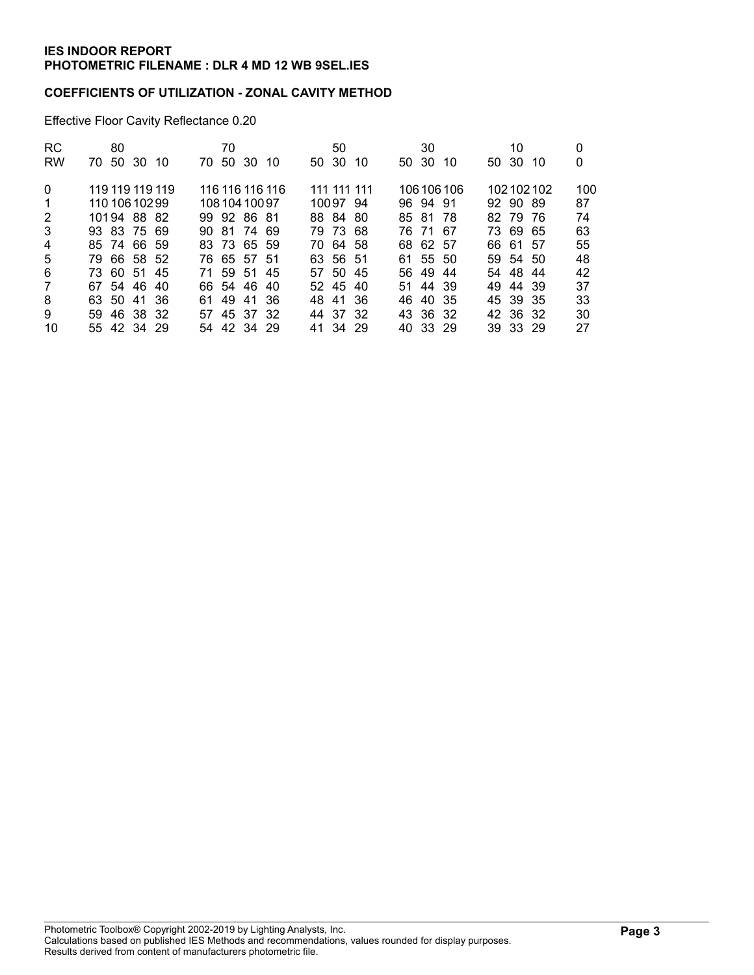# **COEFFICIENTS OF UTILIZATION - ZONAL CAVITY METHOD**

Effective Floor Cavity Reflectance 0.20

| <b>RC</b>      | 80                   | 70                     | 50           | 30               | 10                | 0   |
|----------------|----------------------|------------------------|--------------|------------------|-------------------|-----|
| <b>RW</b>      | 50<br>30 10<br>70.   | 50<br>-30<br>70.<br>10 | 50 30<br>10  | 50 30<br>10      | 50 30<br>10       | 0   |
| $\Omega$       | 119 119 119 119      | 116 116 116 116        | 111 111 111  | 106 106 106      | 102102102         | 100 |
| -1             | 110 106 102 99       | 108 104 100 97         | 10097 94     | 96 94 91         | 92 90 89          | 87  |
| 2              | 10194 88 82          | 99 92 86 81            | 88 84<br>-80 | 85 81<br>-78     | - 79<br>82<br>-76 | 74  |
| 3              | 93 83 75 69          | 90 81 74 69            | 79 73 68     | 76 71<br>-67     | 7369<br>65        | 63  |
| 4              | 85 74 66 59          | 83 73 65 59            | 70 64 58     | 68 62 57         | 66 61 57          | 55  |
| 5              | 79 66 58 52          | 76 65 57 51            | 63 56 51     | 61 55 50         | 59 54 50          | 48  |
| 6              | 73 60 51 45          | 71 59 51 45            | 57 50 45     | 56 49<br>44      | 54 48 44          | 42  |
| $\overline{7}$ | 67 54 46<br>-40      | 66 54 46<br>-40        | 52 45 40     | 51 44 39         | 49 44 39          | 37  |
| 8              | 63 50<br>- 36<br>-41 | 49<br>-36<br>-41<br>61 | 48 41<br>-36 | 40<br>46.<br>-35 | 45 39 35          | 33  |
| 9              | 59 46 38 32          | 57 45 37 32            | 44 37 32     | 43 36 32         | 42 36 32          | 30  |
| 10             | 55 42 34 29          | 54 42 34 29            | 41 34 29     | 40 33 29         | 39 33 29          | 27  |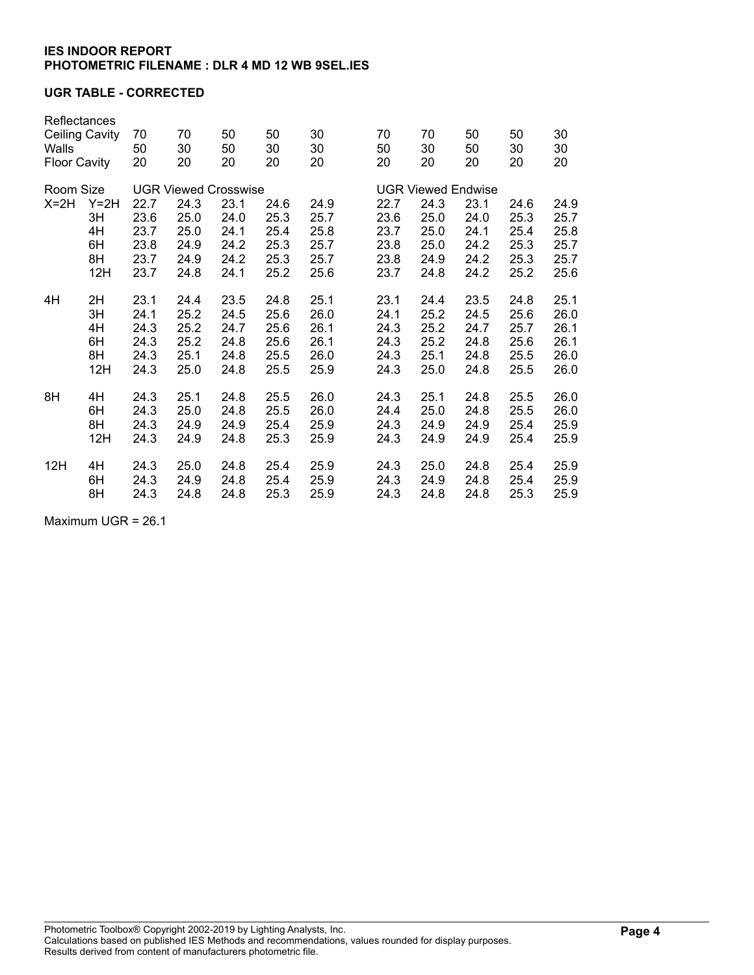# **UGR TABLE - CORRECTED**

| Reflectances<br>Walls<br><b>Floor Cavity</b> | Ceiling Cavity | 70<br>50<br>20 | 70<br>30<br>20              | 50<br>50<br>20 | 50<br>30<br>20 | 30<br>30<br>20 | 70<br>50<br>20 | 70<br>30<br>20 | 50<br>50<br>20            | 50<br>30<br>20 | 30<br>30<br>20 |
|----------------------------------------------|----------------|----------------|-----------------------------|----------------|----------------|----------------|----------------|----------------|---------------------------|----------------|----------------|
| Room Size                                    |                |                | <b>UGR Viewed Crosswise</b> |                |                |                |                |                | <b>UGR Viewed Endwise</b> |                |                |
| $X=2H$<br>3H<br>4H                           | $Y=2H$         | 22.7           | 24.3                        | 23.1           | 24.6           | 24.9           | 22.7           | 24.3           | 23.1                      | 24.6           | 24.9           |
|                                              |                | 23.6           | 25.0                        | 24.0           | 25.3           | 25.7           | 23.6           | 25.0           | 24.0                      | 25.3           | 25.7           |
|                                              |                | 23.7           | 25.0                        | 24.1           | 25.4           | 25.8           | 23.7           | 25.0           | 24.1                      | 25.4           | 25.8           |
|                                              | 6H             | 23.8           | 24.9                        | 24.2           | 25.3           | 25.7           | 23.8           | 25.0           | 24.2                      | 25.3           | 25.7           |
|                                              | 8H             | 23.7           | 24.9                        | 24.2           | 25.3           | 25.7           | 23.8           | 24.9           | 24.2                      | 25.3           | 25.7           |
|                                              | 12H            | 23.7           | 24.8                        | 24.1           | 25.2           | 25.6           | 23.7           | 24.8           | 24.2                      | 25.2           | 25.6           |
| 4H                                           | 2H             | 23.1           | 24.4                        | 23.5           | 24.8           | 25.1           | 23.1           | 24.4           | 23.5                      | 24.8           | 25.1           |
|                                              | 3H             | 24.1           | 25.2                        | 24.5           | 25.6           | 26.0           | 24.1           | 25.2           | 24.5                      | 25.6           | 26.0           |
|                                              | 4H             | 24.3           | 25.2                        | 24.7           | 25.6           | 26.1           | 24.3           | 25.2           | 24.7                      | 25.7           | 26.1           |
|                                              | 6H             | 24.3           | 25.2                        | 24.8           | 25.6           | 26.1           | 24.3           | 25.2           | 24.8                      | 25.6           | 26.1           |
|                                              | 8H             | 24.3           | 25.1                        | 24.8           | 25.5           | 26.0           | 24.3           | 25.1           | 24.8                      | 25.5           | 26.0           |
|                                              | 12H            | 24.3           | 25.0                        | 24.8           | 25.5           | 25.9           | 24.3           | 25.0           | 24.8                      | 25.5           | 26.0           |
| 8H                                           | 4H             | 24.3           | 25.1                        | 24.8           | 25.5           | 26.0           | 24.3           | 25.1           | 24.8                      | 25.5           | 26.0           |
|                                              | 6H             | 24.3           | 25.0                        | 24.8           | 25.5           | 26.0           | 24.4           | 25.0           | 24.8                      | 25.5           | 26.0           |
|                                              | 8H             | 24.3           | 24.9                        | 24.9           | 25.4           | 25.9           | 24.3           | 24.9           | 24.9                      | 25.4           | 25.9           |
|                                              | 12H            | 24.3           | 24.9                        | 24.8           | 25.3           | 25.9           | 24.3           | 24.9           | 24.9                      | 25.4           | 25.9           |
| 12H                                          | 4H             | 24.3           | 25.0                        | 24.8           | 25.4           | 25.9           | 24.3           | 25.0           | 24.8                      | 25.4           | 25.9           |
|                                              | 6H             | 24.3           | 24.9                        | 24.8           | 25.4           | 25.9           | 24.3           | 24.9           | 24.8                      | 25.4           | 25.9           |
|                                              | 8H             | 24.3           | 24.8                        | 24.8           | 25.3           | 25.9           | 24.3           | 24.8           | 24.8                      | 25.3           | 25.9           |

Maximum UGR = 26.1